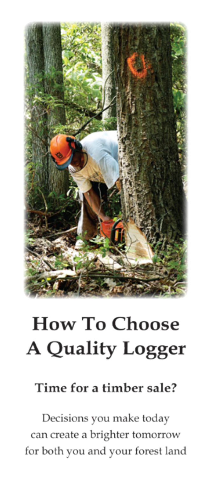

# **How To Choose A Quality Logger**

## Time for a timber sale?

Decisions you make today can create a brighter tomorrow for both you and your forest land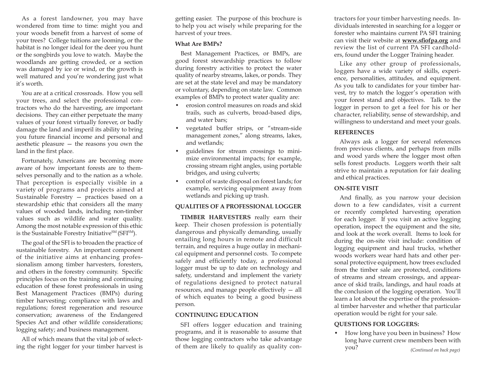As a forest landowner, you may have wondered from time to time: might you and your woods benefit from a harvest of some of your trees? College tuitions are looming, or the habitat is no longer ideal for the deer you hunt or the songbirds you love to watch. Maybe the woodlands are getting crowded, or a section was damaged by ice or wind, or the growth is well matured and you're wondering just what it's worth.

You are at a critical crossroads. How you sell your trees, and select the professional contractors who do the harvesting, are important decisions. They can either perpetuate the many values of your forest virtually forever, or badly damage the land and imperil its ability to bring you future financial income and personal and aesthetic pleasure — the reasons you own the land in the first place.

Fortunately, Americans are becoming more aware of how important forests are to themselves personally and to the nation as a whole. That perception is especially visible in a variety of programs and projects aimed at Sustainable Forestry — practices based on a stewardship ethic that considers all the many values of wooded lands, including non-timber values such as wildlife and water quality. Among the most notable expression of this ethic is the Sustainable Forestry Initiative<sup>SM</sup> (SFI<sup>SM</sup>).

The goal of the SFI is to broaden the practice of sustainable forestry. An important component of the initiative aims at enhancing professionalism among timber harvesters, foresters, and others in the forestry community. Specific principles focus on the training and continuing education of these forest professionals in using Best Management Practices (BMPs) during timber harvesting; compliance with laws and regulations; forest regeneration and resource conservation; awareness of the Endangered Species Act and other wildlife considerations; logging safety; and business management.

All of which means that the vital job of selecting the right logger for your timber harvest is

getting easier. The purpose of this brochure is to help you act wisely while preparing for the harvest of your trees.

#### **What Are BMPs?**

Best Management Practices, or BMPs, are good forest stewardship practices to follow during forestry activities to protect the water quality of nearby streams, lakes, or ponds. They are set at the state level and may be mandatory or voluntary, depending on state law. Common examples of BMPs to protect water quality are:

- erosion control measures on roads and skid trails, such as culverts, broad-based dips, and water bars;
- vegetated buffer strips, or "stream-side management zones," along streams, lakes, and wetlands;
- guidelines for stream crossings to minimize environmental impacts; for example, crossing stream right angles, using portable bridges, and using culverts;
- control of waste disposal on forest lands; for example, servicing equipment away from wetlands and picking up trash.

#### **QUALITIES OF A PROFESSIONAL LOGGER**

**TIMBER HARVESTERS** really earn their keep. Their chosen profession is potentially dangerous and physically demanding, usually entailing long hours in remote and difficult terrain, and requires a huge outlay in mechanical equipment and personnel costs. To compete safely and efficiently today, a professional logger must be up to date on technology and safety, understand and implement the variety of regulations designed to protect natural resources, and manage people effectively — all of which equates to being a good business person.

#### **CONTINUING EDUCATION**

SFI offers logger education and training programs, and it is reasonable to assume that those logging contractors who take advantage of them are likely to qualify as quality con-

tractors for your timber harvesting needs. Individuals interested in searching for a logger or forester who maintains current PA SFI training can visit their website at **www.sfiofpa.org** and review the list of current PA SFI cardholders, found under the Logger Training header.

Like any other group of professionals, loggers have a wide variety of skills, experience, personalities, attitudes, and equipment. As you talk to candidates for your timber harvest, try to match the logger's operation with your forest stand and objectives. Talk to the logger in person to get a feel for his or her character, reliability, sense of stewardship, and willingness to understand and meet your goals.

#### **REFERENCES**

Always ask a logger for several references from previous clients, and perhaps from mills and wood yards where the logger most often sells forest products. Loggers worth their salt strive to maintain a reputation for fair dealing and ethical practices.

#### **ON-SITE VISIT**

And finally, as you narrow your decision down to a few candidates, visit a current or recently completed harvesting operation for each logger. If you visit an active logging operation, inspect the equipment and the site, and look at the work overall. Items to look for during the on-site visit include: condition of logging equipment and haul trucks, whether woods workers wear hard hats and other personal protective equipment, how trees excluded from the timber sale are protected, conditions of streams and stream crossings, and appearance of skid trails, landings, and haul roads at the conclusion of the logging operation. You'll learn a lot about the expertise of the professional timber harvester and whether that particular operation would be right for your sale.

### **QUESTIONS FOR LOGGERS:**

• How long have you been in business? How long have current crew members been with you? *(Continued on back page)*